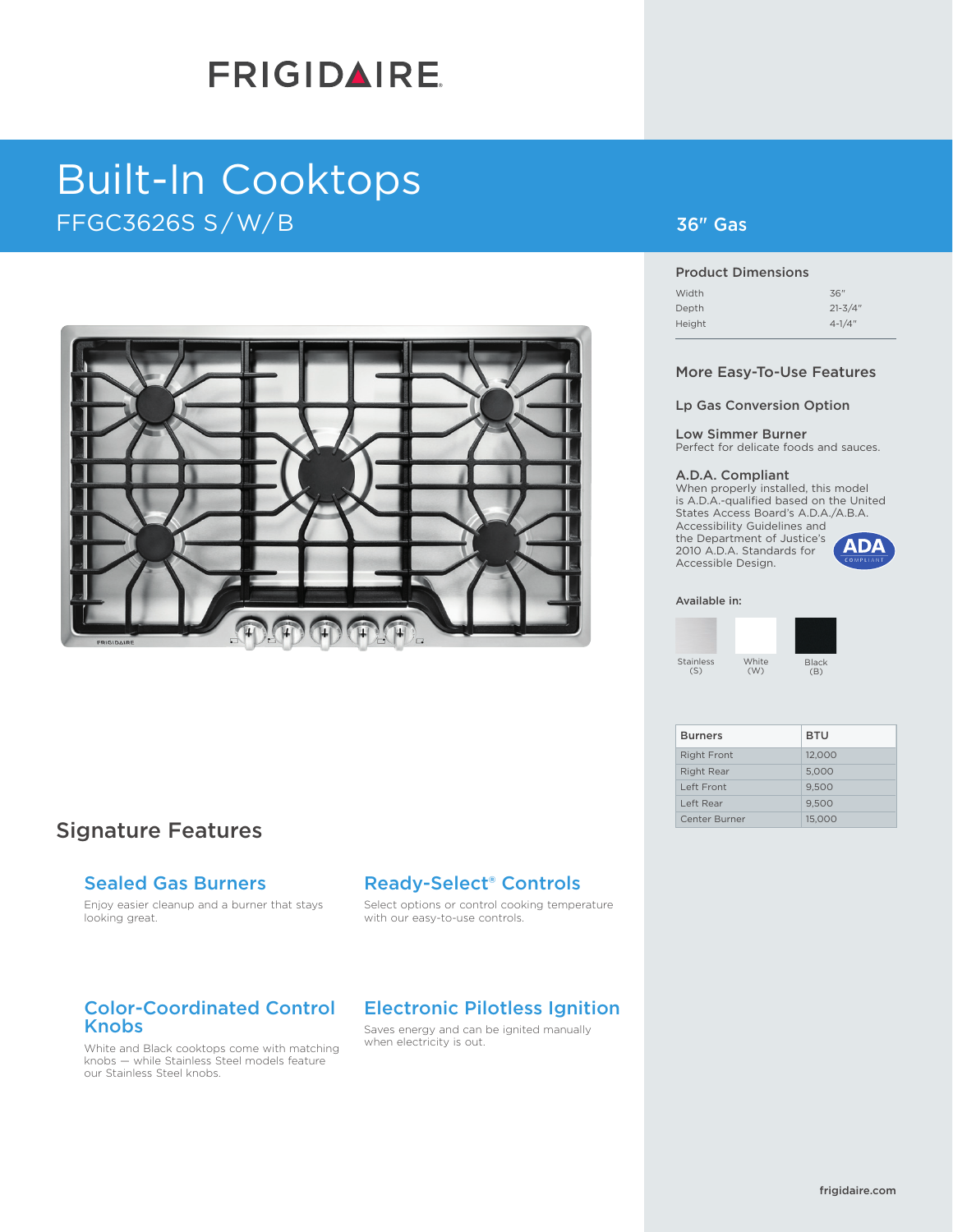# **FRIGIDAIRE**

## Built-In Cooktops  $\mathsf{FFGC}$ 3626S S $\mathsf{/}$  W $\mathsf{/}$  B  $\blacksquare$  and the contraction of the contraction of the contraction of the contraction of the contraction of the contraction of the contraction of the contraction of the contraction of the



## Signature Features

### Sealed Gas Burners

Enjoy easier cleanup and a burner that stays looking great.

### Color-Coordinated Control Knobs

White and Black cooktops come with matching knobs — while Stainless Steel models feature our Stainless Steel knobs.

## Ready-Select® Controls

Select options or control cooking temperature with our easy-to-use controls.

## Electronic Pilotless Ignition

Saves energy and can be ignited manually when electricity is out.

## 36" Gas

#### Product Dimensions

| Width  | 36"         |
|--------|-------------|
| Depth  | $21 - 3/4"$ |
| Height | $4 - 1/4$ " |
|        |             |

#### More Easy-To-Use Features

#### Lp Gas Conversion Option

Low Simmer Burner Perfect for delicate foods and sauces.

#### A.D.A. Compliant

When properly installed, this model is A.D.A.-qualified based on the United States Access Board's A.D.A./A.B.A. Accessibility Guidelines and the Department of Justice's ADA 2010 A.D.A. Standards for Accessible Design.

#### Available in:

White (W) Stainless (S)

Black (B)

| <b>Burners</b>     | <b>BTU</b> |
|--------------------|------------|
| <b>Right Front</b> | 12,000     |
| <b>Right Rear</b>  | 5,000      |
| Left Front         | 9.500      |
| Left Rear          | 9.500      |
| Center Burner      | 15,000     |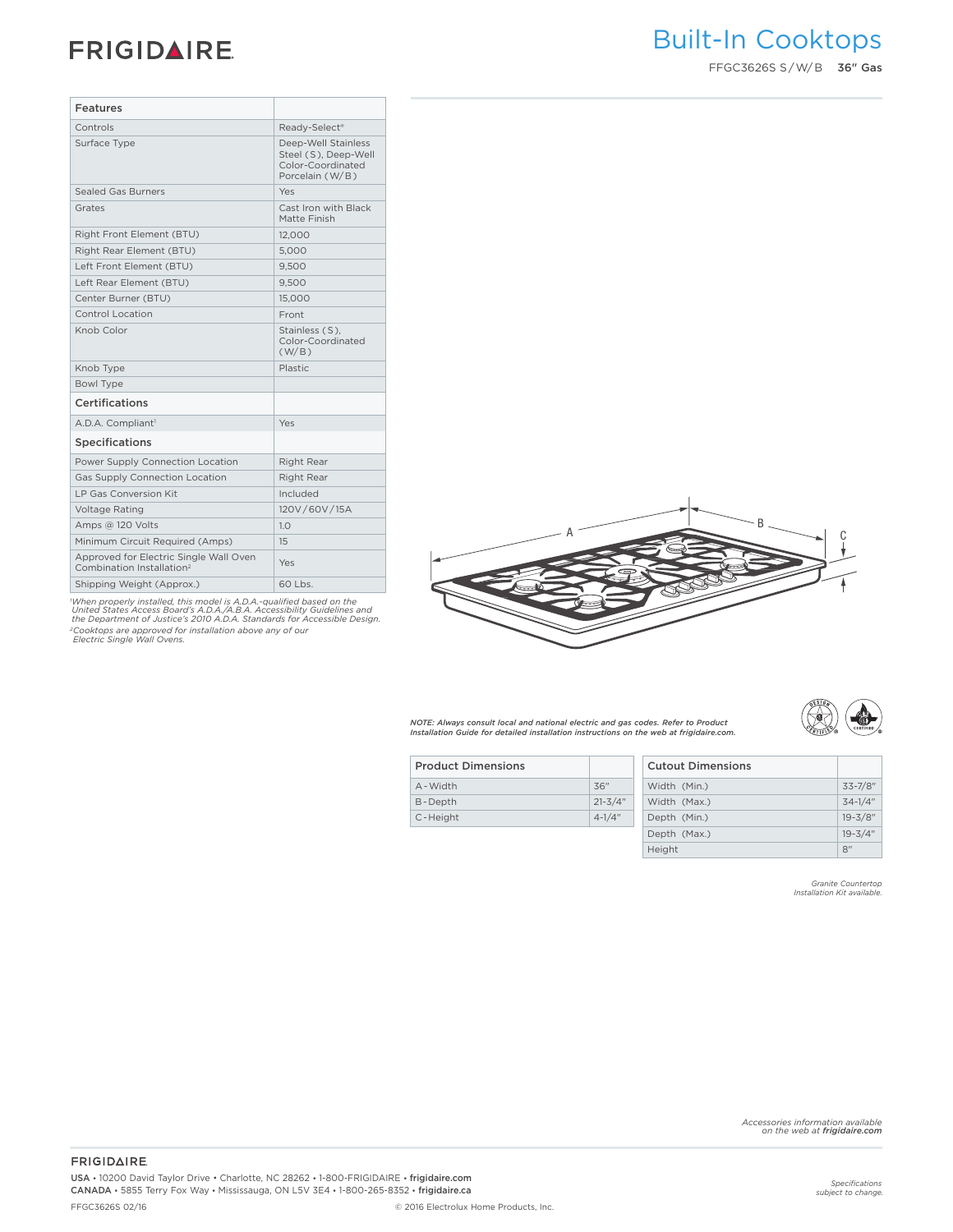## **FRIGIDAIRE**

| Features                                                                        |                                                                                     |
|---------------------------------------------------------------------------------|-------------------------------------------------------------------------------------|
| Controls                                                                        | Ready-Select <sup>®</sup>                                                           |
| Surface Type                                                                    | Deep-Well Stainless<br>Steel (S), Deep-Well<br>Color-Coordinated<br>Porcelain (W/B) |
| <b>Sealed Gas Burners</b>                                                       | Yes                                                                                 |
| Grates                                                                          | Cast Iron with Black<br>Matte Finish                                                |
| Right Front Element (BTU)                                                       | 12,000                                                                              |
| Right Rear Element (BTU)                                                        | 5,000                                                                               |
| Left Front Element (BTU)                                                        | 9,500                                                                               |
| Left Rear Element (BTU)                                                         | 9,500                                                                               |
| Center Burner (BTU)                                                             | 15,000                                                                              |
| Control Location                                                                | Front                                                                               |
| Knob Color                                                                      | Stainless (S),<br>Color-Coordinated<br>(W/B)                                        |
| Knob Type                                                                       | Plastic                                                                             |
| Bowl Type                                                                       |                                                                                     |
| Certifications                                                                  |                                                                                     |
| A.D.A. Compliant <sup>1</sup>                                                   | Yes                                                                                 |
| Specifications                                                                  |                                                                                     |
| Power Supply Connection Location                                                | Right Rear                                                                          |
| Gas Supply Connection Location                                                  | Right Rear                                                                          |
| LP Gas Conversion Kit                                                           | Included                                                                            |
| Voltage Rating                                                                  | 120V/60V/15A                                                                        |
| Amps @ 120 Volts                                                                | 1.0                                                                                 |
| Minimum Circuit Required (Amps)                                                 | 15                                                                                  |
| Approved for Electric Single Wall Oven<br>Combination Installation <sup>2</sup> | Yes                                                                                 |
| Shipping Weight (Approx.)                                                       | 60 Lbs.                                                                             |

'When properly installed, this model is A.D.A.-qualified based on the<br>United States Access Board's A.D.A./A.B.A. Accessibility Guidelines and<br>the Department of Justice's 2010 A.D.A. Standards for Accessible Design. *2Cooktops are approved for installation above any of our Electric Single Wall Ovens.*



*NOTE: Always consult local and national electric and gas codes. Refer to Product Installation Guide for detailed installation instructions on the web at frigidaire.com.*



| <b>Product Dimensions</b> |             | Cutout  |
|---------------------------|-------------|---------|
| A - Width                 | 36"         | Width ( |
| B-Depth                   | $21 - 3/4"$ | Width ( |
| C-Height                  | $4 - 1/4$ " | Depth ( |
|                           |             |         |

| <b>Cutout Dimensions</b> |              |
|--------------------------|--------------|
| Width (Min.)             | $33 - 7/8$ " |
| Width (Max.)             | $34 - 1/4$ " |
| Depth (Min.)             | $19 - 3/8"$  |
| Depth (Max.)             | $19 - 3/4"$  |
| Height                   | R''          |

*Granite Countertop Installation Kit available.*